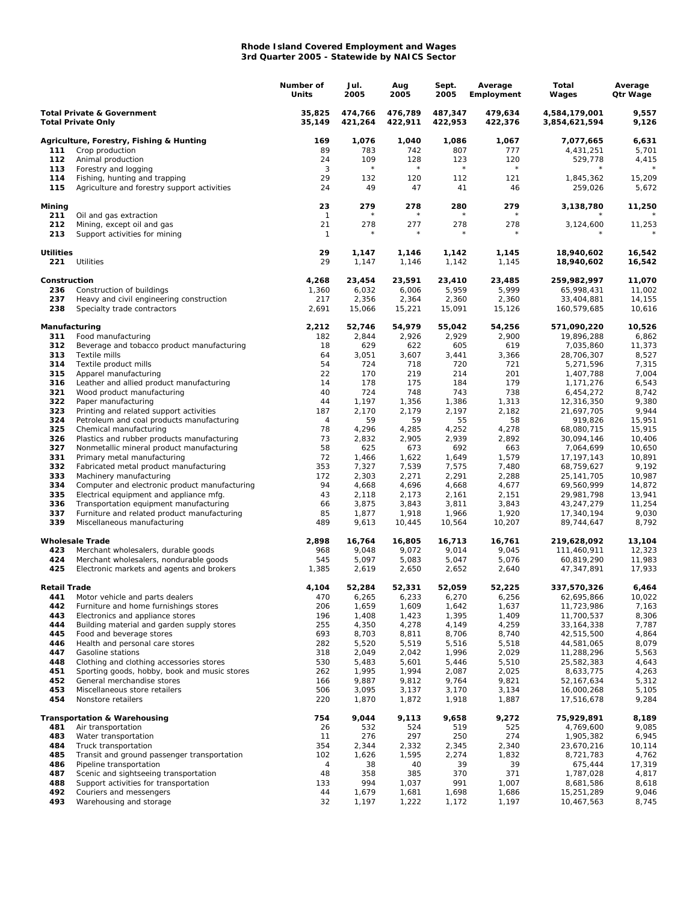## **Rhode Island Covered Employment and Wages 3rd Quarter 2005 - Statewide by NAICS Sector**

|                                                                    |                                                                                          | Number of<br>Units | Jul.<br>2005       | Aug<br>2005        | Sept.<br>2005      | Average<br>Employment | Total<br>Wages                 | Average<br>Qtr Wage |
|--------------------------------------------------------------------|------------------------------------------------------------------------------------------|--------------------|--------------------|--------------------|--------------------|-----------------------|--------------------------------|---------------------|
| <b>Total Private &amp; Government</b><br><b>Total Private Only</b> |                                                                                          | 35,825<br>35,149   | 474,766<br>421,264 | 476,789<br>422,911 | 487,347<br>422,953 | 479,634<br>422,376    | 4,584,179,001<br>3,854,621,594 | 9,557<br>9,126      |
|                                                                    | Agriculture, Forestry, Fishing & Hunting                                                 | 169                | 1,076              | 1,040              | 1,086              | 1,067                 | 7,077,665                      | 6,631               |
| 111                                                                | Crop production                                                                          | 89                 | 783                | 742                | 807                | 777                   | 4,431,251                      | 5,701               |
| 112                                                                | Animal production                                                                        | 24                 | 109                | 128<br>$^{\star}$  | 123                | 120<br>$\star$        | 529,778                        | 4,415               |
| 113<br>114                                                         | Forestry and logging                                                                     | 3<br>29            | $\star$<br>132     | 120                | $\star$<br>112     | 121                   | 1,845,362                      | 15,209              |
| 115                                                                | Fishing, hunting and trapping<br>Agriculture and forestry support activities             | 24                 | 49                 | 47                 | 41                 | 46                    | 259,026                        | 5,672               |
| Mining<br>211                                                      | Oil and gas extraction                                                                   | 23<br>$\mathbf{1}$ | 279                | 278                | 280                | 279                   | 3,138,780                      | 11,250              |
| 212                                                                | Mining, except oil and gas                                                               | 21                 | 278                | 277                | 278                | 278                   | 3,124,600                      | 11,253              |
| 213                                                                | Support activities for mining                                                            | $\mathbf{1}$       |                    |                    |                    |                       |                                |                     |
| <b>Utilities</b><br>221                                            | Utilities                                                                                | 29<br>29           | 1,147<br>1,147     | 1,146<br>1,146     | 1,142<br>1,142     | 1,145<br>1,145        | 18,940,602<br>18,940,602       | 16,542<br>16,542    |
| Construction                                                       |                                                                                          | 4,268              | 23,454             | 23,591             | 23,410             | 23,485                | 259,982,997                    | 11,070              |
| 236<br>237                                                         | Construction of buildings<br>Heavy and civil engineering construction                    | 1,360<br>217       | 6,032<br>2,356     | 6,006<br>2,364     | 5,959<br>2,360     | 5,999<br>2,360        | 65,998,431<br>33,404,881       | 11,002<br>14,155    |
| 238                                                                | Specialty trade contractors                                                              | 2,691              | 15,066             | 15,221             | 15,091             | 15,126                | 160,579,685                    | 10,616              |
| Manufacturing                                                      |                                                                                          | 2,212              | 52,746             | 54,979             | 55,042             | 54,256                | 571,090,220                    | 10,526              |
| 311<br>312                                                         | Food manufacturing<br>Beverage and tobacco product manufacturing                         | 182<br>18          | 2,844<br>629       | 2,926<br>622       | 2,929<br>605       | 2,900<br>619          | 19,896,288<br>7,035,860        | 6,862<br>11,373     |
| 313                                                                | Textile mills                                                                            | 64                 | 3,051              | 3,607              | 3,441              | 3,366                 | 28,706,307                     | 8,527               |
| 314                                                                | Textile product mills                                                                    | 54                 | 724                | 718                | 720                | 721                   | 5,271,596                      | 7,315               |
| 315                                                                | Apparel manufacturing                                                                    | 22                 | 170                | 219                | 214                | 201                   | 1,407,788                      | 7,004               |
| 316                                                                | Leather and allied product manufacturing                                                 | 14                 | 178                | 175                | 184                | 179                   | 1,171,276                      | 6,543               |
| 321                                                                | Wood product manufacturing                                                               | 40                 | 724                | 748                | 743                | 738                   | 6,454,272                      | 8,742               |
| 322                                                                | Paper manufacturing                                                                      | 44                 | 1,197              | 1,356              | 1,386              | 1,313<br>2,182        | 12,316,350                     | 9,380               |
| 323<br>324                                                         | Printing and related support activities<br>Petroleum and coal products manufacturing     | 187<br>4           | 2,170<br>59        | 2,179<br>59        | 2,197<br>55        | 58                    | 21,697,705<br>919,826          | 9,944<br>15,951     |
| 325                                                                | Chemical manufacturing                                                                   | 78                 | 4,296              | 4,285              | 4,252              | 4,278                 | 68,080,715                     | 15,915              |
| 326                                                                | Plastics and rubber products manufacturing                                               | 73                 | 2,832              | 2,905              | 2,939              | 2,892                 | 30,094,146                     | 10,406              |
| 327                                                                | Nonmetallic mineral product manufacturing                                                | 58                 | 625                | 673                | 692                | 663                   | 7,064,699                      | 10,650              |
| 331                                                                | Primary metal manufacturing                                                              | 72                 | 1,466              | 1,622              | 1,649              | 1,579                 | 17, 197, 143                   | 10,891              |
| 332                                                                | Fabricated metal product manufacturing                                                   | 353                | 7,327              | 7,539              | 7,575              | 7,480                 | 68,759,627                     | 9,192               |
| 333<br>334                                                         | Machinery manufacturing                                                                  | 172<br>94          | 2,303<br>4,668     | 2,271              | 2,291<br>4,668     | 2,288<br>4,677        | 25, 141, 705<br>69,560,999     | 10,987<br>14,872    |
| 335                                                                | Computer and electronic product manufacturing<br>Electrical equipment and appliance mfg. | 43                 | 2,118              | 4,696<br>2,173     | 2,161              | 2,151                 | 29,981,798                     | 13,941              |
| 336                                                                | Transportation equipment manufacturing                                                   | 66                 | 3,875              | 3,843              | 3,811              | 3,843                 | 43,247,279                     | 11,254              |
| 337                                                                | Furniture and related product manufacturing                                              | 85                 | 1,877              | 1,918              | 1,966              | 1,920                 | 17,340,194                     | 9,030               |
| 339                                                                | Miscellaneous manufacturing                                                              | 489                | 9,613              | 10,445             | 10,564             | 10,207                | 89,744,647                     | 8,792               |
|                                                                    | <b>Wholesale Trade</b>                                                                   | 2,898              | 16,764             | 16,805             | 16,713             | 16,761                | 219,628,092                    | 13,104              |
| 423                                                                | Merchant wholesalers, durable goods                                                      | 968                | 9,048              | 9,072              | 9,014              | 9,045                 | 111,460,911                    | 12,323              |
| 424<br>425                                                         | Merchant wholesalers, nondurable goods<br>Electronic markets and agents and brokers      | 545<br>1,385       | 5,097<br>2,619     | 5,083<br>2,650     | 5,047<br>2,652     | 5,076<br>2,640        | 60,819,290<br>47,347,891       | 11,983<br>17,933    |
| <b>Retail Trade</b>                                                |                                                                                          | 4,104              | 52,284             | 52,331             | 52,059             | 52,225                | 337,570,326                    | 6,464               |
| 441                                                                | Motor vehicle and parts dealers                                                          | 470                | 6,265              | 6,233              | 6,270              | 6,256                 | 62,695,866                     | 10,022              |
| 442                                                                | Furniture and home furnishings stores                                                    | 206                | 1,659              | 1,609              | 1,642              | 1,637                 | 11,723,986                     | 7,163               |
| 443                                                                | Electronics and appliance stores                                                         | 196                | 1,408              | 1,423              | 1,395              | 1,409                 | 11,700,537<br>33, 164, 338     | 8,306               |
| 444<br>445                                                         | Building material and garden supply stores<br>Food and beverage stores                   | 255<br>693         | 4,350<br>8,703     | 4,278<br>8,811     | 4,149<br>8,706     | 4,259<br>8,740        | 42,515,500                     | 7,787<br>4,864      |
| 446                                                                | Health and personal care stores                                                          | 282                | 5,520              | 5,519              | 5,516              | 5,518                 | 44,581,065                     | 8,079               |
| 447                                                                | Gasoline stations                                                                        | 318                | 2,049              | 2,042              | 1,996              | 2,029                 | 11,288,296                     | 5,563               |
| 448                                                                | Clothing and clothing accessories stores                                                 | 530                | 5,483              | 5,601              | 5,446              | 5,510                 | 25,582,383                     | 4,643               |
| 451                                                                | Sporting goods, hobby, book and music stores                                             | 262                | 1,995              | 1,994              | 2,087              | 2,025                 | 8,633,775                      | 4,263               |
| 452                                                                | General merchandise stores                                                               | 166                | 9,887              | 9,812              | 9,764              | 9,821                 | 52,167,634                     | 5,312               |
| 453<br>454                                                         | Miscellaneous store retailers<br>Nonstore retailers                                      | 506<br>220         | 3,095<br>1,870     | 3,137<br>1,872     | 3,170<br>1,918     | 3,134<br>1,887        | 16,000,268<br>17,516,678       | 5,105<br>9,284      |
|                                                                    | <b>Transportation &amp; Warehousing</b>                                                  | 754                | 9,044              | 9,113              | 9,658              | 9,272                 | 75,929,891                     | 8,189               |
| 481                                                                | Air transportation                                                                       | 26                 | 532                | 524                | 519                | 525                   | 4,769,600                      | 9,085               |
| 483                                                                | Water transportation                                                                     | 11                 | 276                | 297                | 250                | 274                   | 1,905,382                      | 6,945               |
| 484                                                                | Truck transportation                                                                     | 354                | 2,344              | 2,332              | 2,345              | 2,340                 | 23,670,216                     | 10,114              |
| 485                                                                | Transit and ground passenger transportation                                              | 102                | 1,626              | 1,595              | 2,274              | 1,832                 | 8,721,783                      | 4,762               |
| 486                                                                | Pipeline transportation                                                                  | $\overline{4}$     | 38                 | 40                 | 39                 | 39                    | 675,444                        | 17,319              |
| 487<br>488                                                         | Scenic and sightseeing transportation<br>Support activities for transportation           | 48<br>133          | 358<br>994         | 385<br>1,037       | 370<br>991         | 371<br>1,007          | 1,787,028<br>8,681,586         | 4,817<br>8,618      |
| 492                                                                | Couriers and messengers                                                                  | 44                 | 1,679              | 1,681              | 1,698              | 1,686                 | 15,251,289                     | 9,046               |
| 493                                                                | Warehousing and storage                                                                  | 32                 | 1,197              | 1,222              | 1,172              | 1,197                 | 10,467,563                     | 8,745               |
|                                                                    |                                                                                          |                    |                    |                    |                    |                       |                                |                     |